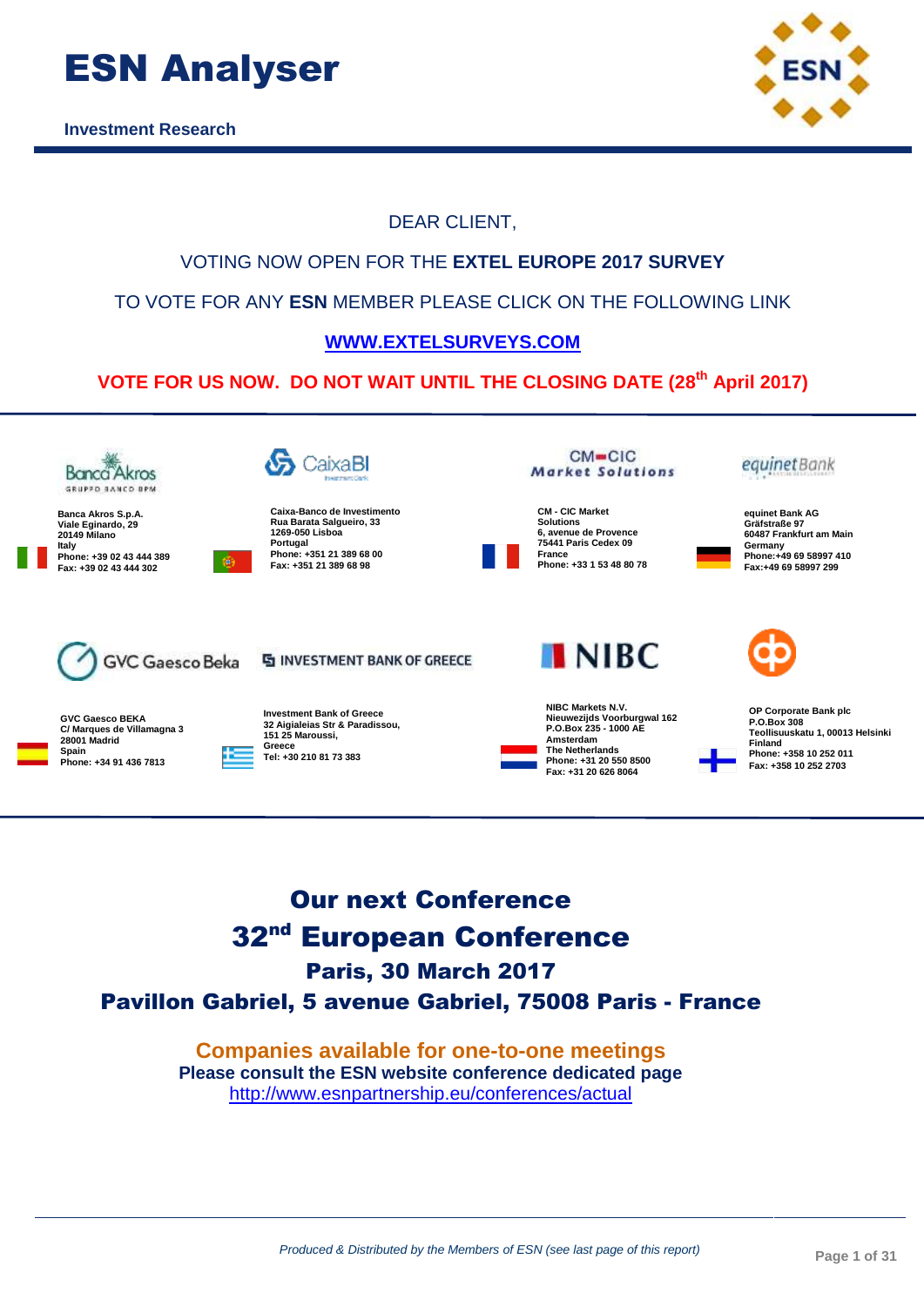

**Investment Research**



#### VOTING NOW OPEN FOR THE **EXTEL EUROPE 2017 SURVEY** TO VOTE FOR ANY **ESN** MEMBER PLEASE CLICK ON THE FOLLOWING LINK **[WWW.EXTELSURVEYS.COM](https://app.extelsurveys.com/) VOTE FOR US NOW. DO NOT WAIT UNTIL THE CLOSING DATE (28 th April 2017)**  $CM = CIC$  $\mathbf{\mathfrak{S}}$  CaixaBl equinet Bank **Banca** Akros Market Solutions GRUPPO BANCO RPM **CM - CIC Market Caixa-Banco de Investimento equinet Bank AG Banca Akros S.p.A. Rua Barata Salgueiro, 33 Solutions 6, avenue de Provence Viale Eginardo, 29 20149 Milano Gräfstraße 97 1269-050 Lisboa 60487 Frankfurt am Main Portugal 75441 Paris Cedex 09 Italy Germany Phone:+49 69 58997 410 Phone: +351 21 389 68 00 France Phone: +39 02 43 444 389 Phone: +33 1 53 48 80 78 Fax: +351 21 389 68 98 Fax: +39 02 43 444 302Fax:+49 69 58997 299 INIRC GVC Gaesco Beka S INVESTMENT BANK OF GREECE NIBC Markets N.V. OP Corporate Bank plc Investment Bank of Greece GVC Gaesco BEKA Nieuwezijds Voorburgwal 162 P.O.Box 235 - 1000 AE P.O.Box 308 32 Aigialeias Str & Paradissou, C/ Marques de Villamagna 3 Teollisuuskatu 1, 00013 Helsinki 151 25 Maroussi, 28001 Madrid Amsterdam Finland Greece Spain The Netherlands Phone: +358 10 252 011 Tel: +30 210 81 73 383 Phone: +34 91 436 7813 Phone: +31 20 550 8500 Fax: +358 10 252 2703 Fax: +31 20 626 8064**

DEAR CLIENT,

## Our next Conference 32<sup>nd</sup> European Conference Paris, 30 March 2017 Pavillon Gabriel, 5 avenue Gabriel, 75008 Paris - France

**Companies available for one-to-one meetings Please consult the ESN website conference dedicated page**  <http://www.esnpartnership.eu/conferences/actual>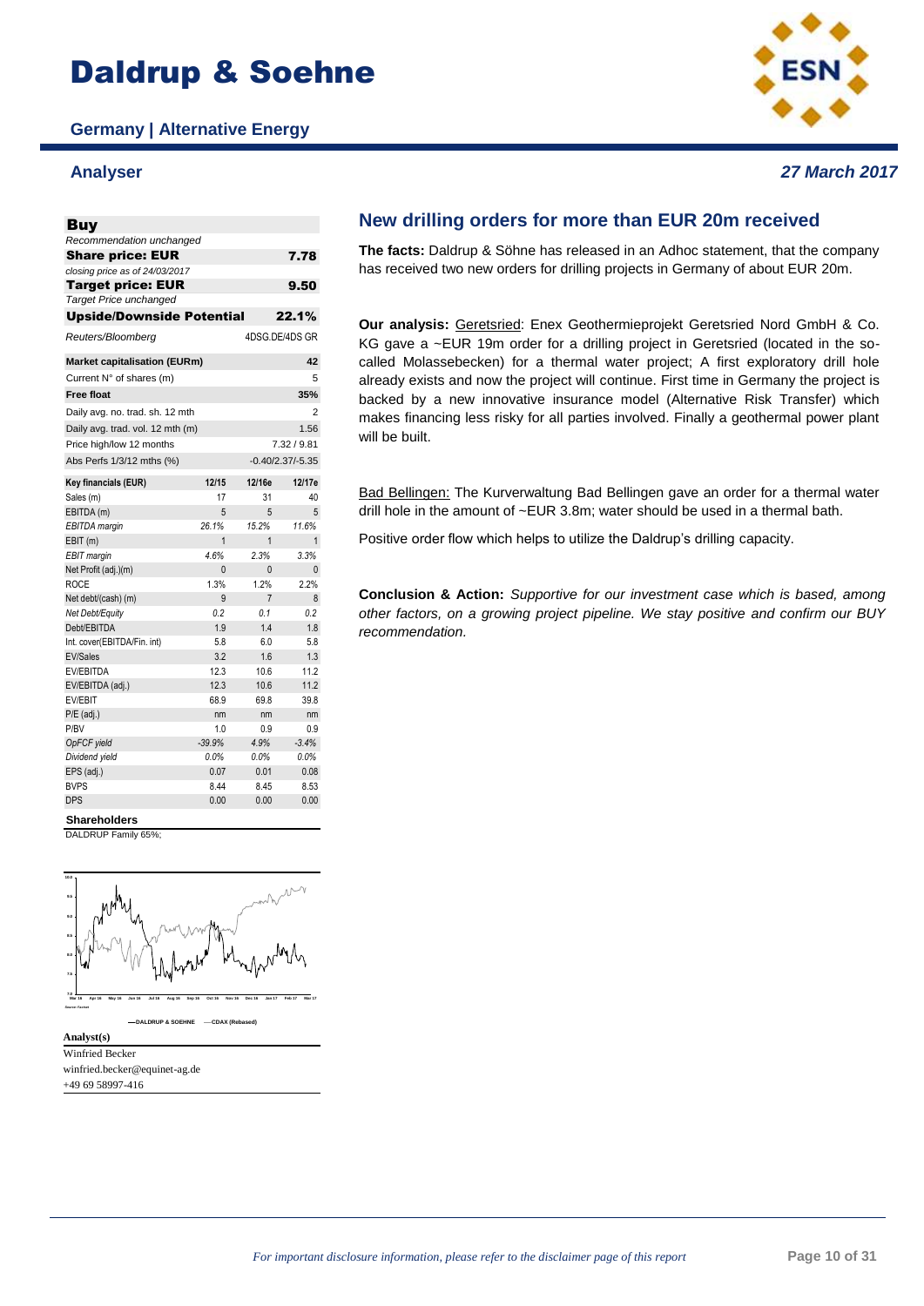# Daldrup & Soehne

**Germany | Alternative Energy**

### **Analyser** *27 March 2017*



### Buy 7.78 *closing price as of 24/03/2017* 9.50 Upside/Downside Potential 22.1% *Target Price unchanged Recommendation unchanged* Target price: EUR Share price: EUR *Reuters/Bloomberg* 4DSG.DE/4DS GR **Market capitalisation (EURm) 42** Current  $N^{\circ}$  of shares (m)  $5$ **Free float 35%** Daily avg. no. trad. sh. 12 mth Daily avg. trad. vol. 12 mth  $(m)$  1.56 Price high/low 12 months 7.32 / 9.81 Abs Perfs 1/3/12 mths (%) -0.40/2.37/-5.35 **Key financials (EUR) 12/15 12/16e 12/17e** Sales (m) 17 31 40 EBITDA (m) 5 5 5 5 *EBITDA margin 26.1% 15.2% 11.6%* EBIT (m) 1 1 1 1 *EBIT margin 4.6% 2.3% 3.3%* Net Profit (adj.)(m) 0 0 0 0 ROCE 1.3% 1.2% 2.2% Net debt/(cash) (m) 9 7 8 *Net Debt/Equity 0.2 0.1 0.2* Debt/EBITDA 1.9 1.4 1.8 Int. cover(EBITDA/Fin. int) 5.8 6.0 5.8 EV/Sales 3.2 1.6 1.3 EV/EBITDA 12.3 10.6 11.2 EV/EBITDA (adj.) 12.3 10.6 11.2 EV/EBIT 68.9 69.8 39.8 P/E (adj.) nm nm nm P/BV 1.0 0.9 0.9 *OpFCF yield -39.9% 4.9% -3.4% Dividend yield 0.0% 0.0% 0.0%* EPS (adj.) 0.07 0.01 0.08 BVPS 8.44 8.45 8.53 DPS 0.00 0.00 0.00

**Shareholders**

DALDRUP Family 65%



Winfried Becker winfried.becker@equinet-ag.de +49 69 58997-416

**Analyst(s)**

### **New drilling orders for more than EUR 20m received**

**The facts:** Daldrup & Söhne has released in an Adhoc statement, that the company has received two new orders for drilling projects in Germany of about EUR 20m.

**Our analysis:** Geretsried: Enex Geothermieprojekt Geretsried Nord GmbH & Co. KG gave a ~EUR 19m order for a drilling project in Geretsried (located in the socalled Molassebecken) for a thermal water project; A first exploratory drill hole already exists and now the project will continue. First time in Germany the project is backed by a new innovative insurance model (Alternative Risk Transfer) which makes financing less risky for all parties involved. Finally a geothermal power plant will be built.

Bad Bellingen: The Kurverwaltung Bad Bellingen gave an order for a thermal water drill hole in the amount of ~EUR 3.8m; water should be used in a thermal bath.

Positive order flow which helps to utilize the Daldrup's drilling capacity.

**Conclusion & Action:** *Supportive for our investment case which is based, among other factors, on a growing project pipeline. We stay positive and confirm our BUY recommendation.*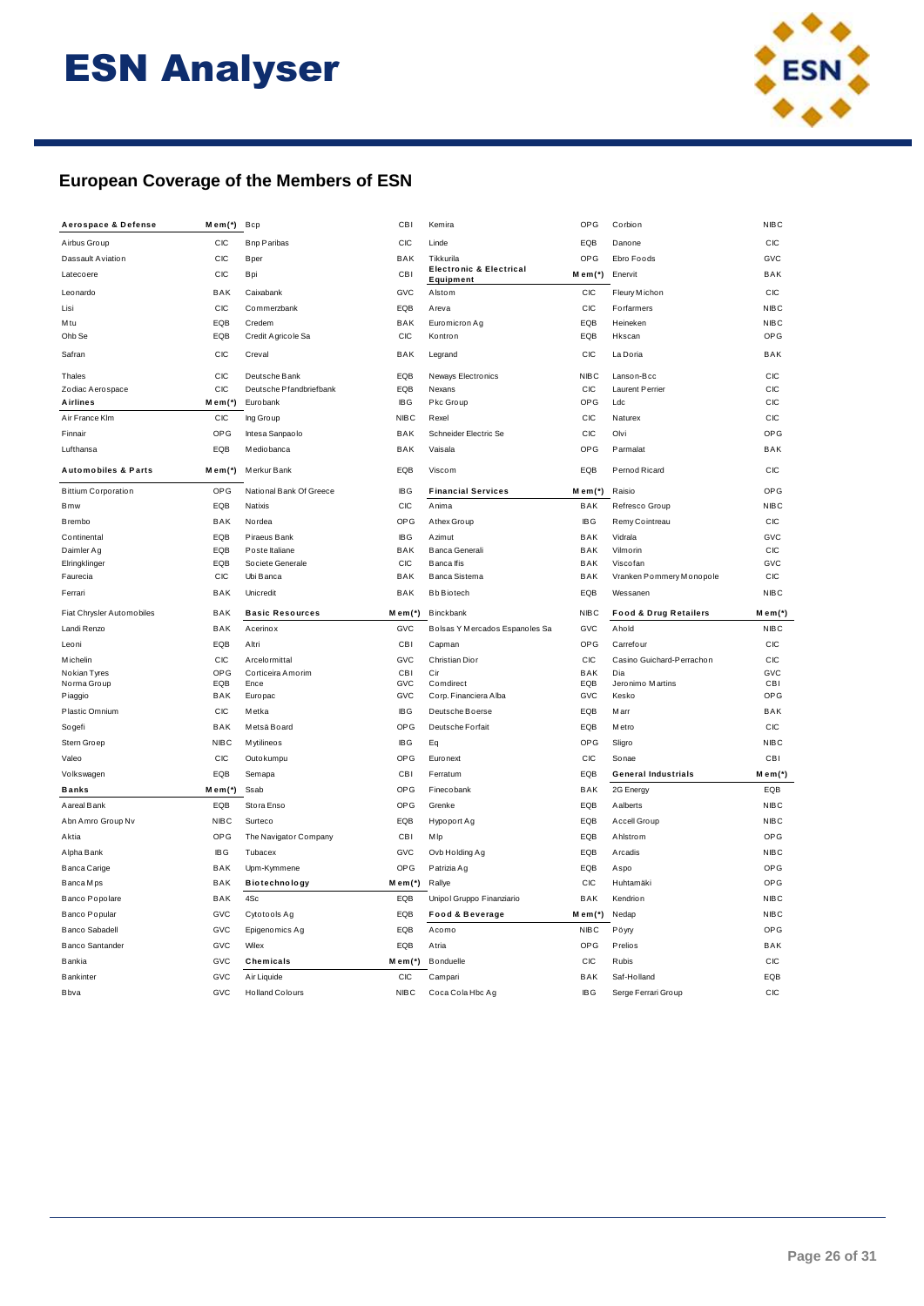

### European Coverage of the Members of ESN

| Aerospace & Defense            | Mem(*)       | Bcp                                   | CBI                | Kemira                                          | OPG               | Corbion                            | <b>NIBC</b>  |
|--------------------------------|--------------|---------------------------------------|--------------------|-------------------------------------------------|-------------------|------------------------------------|--------------|
| Airbus Group                   | CIC          | <b>Bnp Paribas</b>                    | CIC                | Linde                                           | EQB               | Danone                             | CIC          |
| Dassault Aviation              | CIC          | <b>B</b> per                          | <b>BAK</b>         | Tikkurila                                       | OPG               | Ebro Foods                         | GVC          |
| Latecoere                      | CIC          | Bpi                                   | CBI                | <b>Electronic &amp; Electrical</b><br>Equipment | $M$ em $(*)$      | Enervit                            | <b>BAK</b>   |
| Leonardo                       | BAK          | Caixabank                             | GVC                | Alstom                                          | CIC               | Fleury Michon                      | CIC          |
| Lisi                           | CIC          | Commerzbank                           | EQB                | Areva                                           | CIC               | Forfarmers                         | <b>NIBC</b>  |
| Mtu                            | EQB          | Credem                                | BAK                | Euromicron Ag                                   | EQB               | Heineken                           | <b>NIBC</b>  |
| Ohb Se                         | EQB          | Credit Agricole Sa                    | CIC                | Kontron                                         | EQB               | Hkscan                             | OPG          |
| Safran                         | CIC          | Creval                                | BAK                | Legrand                                         | CIC               | La Doria                           | <b>BAK</b>   |
| Thales                         | CIC          | Deutsche Bank                         | EQB                | Neways Electronics                              | <b>NIBC</b>       | Lanson-Bcc                         | CIC          |
| Zodiac Aerospace               | CIC          | Deutsche Pfandbriefbank               | EQB                | Nexans                                          | <b>CIC</b>        | Laurent Perrier                    | CIC          |
| Airlines                       | $M$ em $(*)$ | Eurobank                              | <b>IBG</b>         | Pkc Group                                       | OPG               | Ldc                                | CIC          |
| Air France Klm                 | CIC          | Ing Group                             | <b>NIBC</b>        | Rexel                                           | CIC               | Naturex                            | CIC          |
| Finnair                        | OPG          | Intesa Sanpaolo                       | <b>BAK</b>         | Schneider Electric Se                           | CIC               | Olvi                               | OPG          |
| Lufthansa                      | EQB          | Mediobanca                            | BAK                | Vaisala                                         | OPG               | Parmalat                           | <b>BAK</b>   |
| <b>Automobiles &amp; Parts</b> | $M$ em $(*)$ | Merkur Bank                           | EQB                | Viscom                                          | EQB               | Pernod Ricard                      | CIC          |
| <b>Bittium Corporation</b>     | OPG          | National Bank Of Greece               | <b>IBG</b>         | <b>Financial Services</b>                       | Mem(*)            | Raisio                             | OPG          |
| Bmw                            | EQB          | Natixis                               | CIC                | Anima                                           | BAK               | Refresco Group                     | <b>NIBC</b>  |
| <b>B</b> rembo                 | BAK          | Nordea                                | <b>OPG</b>         | Athex Group                                     | <b>IBG</b>        | Remy Cointreau                     | <b>CIC</b>   |
| Continental                    | EQB          | Piraeus Bank                          | <b>IBG</b>         | Azimut                                          | BAK               | Vidrala                            | GVC          |
| Daimler Ag                     | EQB          | Poste Italiane                        | BAK                | Banca Generali                                  | BAK               | Vilmorin                           | CIC          |
| Elringklinger                  | EQB          | Societe Generale                      | CIC                | Banca Ifis                                      | BAK               | Viscofan                           | GVC          |
| Faurecia                       | CIC          | Ubi Banca                             | BAK                | <b>Banca Sistema</b>                            | BAK               | Vranken Pommery Monopole           | CIC          |
| Ferrari                        | BAK          | Unicredit                             | BAK                | <b>Bb</b> Biotech                               | EQB               | Wessanen                           | <b>NIBC</b>  |
|                                |              |                                       |                    |                                                 |                   |                                    |              |
| Fiat Chrysler Automobiles      | <b>BAK</b>   | <b>Basic Resources</b>                | $M$ em $(*)$       | Binckbank                                       | <b>NIBC</b>       | <b>Food &amp; Drug Retailers</b>   | $M$ em $(*)$ |
| Landi Renzo                    | BAK          | Acerinox                              | GVC                | Bolsas Y Mercados Espanoles Sa                  | GVC               | Ahold                              | <b>NIBC</b>  |
| Leoni                          | EQB          | Altri                                 | CBI                | Capman                                          | OPG               | Carrefour                          | CIC          |
| <b>M</b> ichelin               | <b>CIC</b>   | A rcelo rmittal                       | GVC                | Christian Dion                                  | CIC               | Casino Guichard-Perrachon          | CIC          |
| Nokian Tyres                   | OPG          | Corticeira Amorim                     | CBI                | Cir                                             | <b>BAK</b>        | Dia                                | GVC          |
| Norma Group                    | EQB          | Ence                                  | GVC                | Comdirect                                       | EQB               | Jeronimo Martins                   | CBI          |
| Piaggio                        | BAK          | Europac                               | GVC                | Corp. Financiera Alba                           | GVC               | Kesko                              | OPG          |
| Plastic Omnium                 | CIC          | Metka                                 | <b>IBG</b>         | Deutsche Boerse                                 | EQB               | Marr                               | BAK          |
| Sogefi                         | BAK          | Metsä Board                           | <b>OPG</b>         | Deutsche Forfait                                | EQB               | M etro                             | CIC          |
| Stern Groep                    | <b>NIBC</b>  | M ytilineos                           | <b>IBG</b>         | Eq                                              | OPG               | Sligro                             | <b>NIBC</b>  |
| Valeo                          | CIC          | Outokumpu                             | <b>OPG</b>         | Euronext                                        | CIC               | Sonae                              | <b>CBI</b>   |
| Volkswagen                     | EQB          | Semapa                                | CBI                | Ferratum                                        | EQB               | <b>General Industrials</b>         | $M$ em $(*)$ |
| <b>Banks</b>                   | $M$ em $(*)$ | Ssab                                  | <b>OPG</b>         | Finecobank                                      | BAK               | 2G Energy                          | EQB          |
| Aareal Bank                    | EQB          | Stora Enso                            | <b>OPG</b>         | Grenke                                          | EQB               | Aalberts                           | <b>NIBC</b>  |
| Abn Amro Group Nv              | <b>NIBC</b>  | Surteco                               | EQB                | Hypoport Ag                                     | EQB               | Accell Group                       | <b>NIBC</b>  |
| Aktia                          | OPG          | The Navigator Company                 | CBI                | M lp                                            | EQB               | Ahlstrom                           | OPG          |
| Alpha Bank                     | <b>IBG</b>   | Tubacex                               | GVC                | Ovb Holding Ag                                  | EQB               | Arcadis                            | <b>NIBC</b>  |
| <b>Banca Carige</b>            | <b>BAK</b>   | Upm-Kymmene                           | <b>OPG</b>         | Patrizia Ag                                     | EQB               | Aspo                               | OPG          |
| Banca Mps                      | BAK          | Biotechnology                         | $M$ em $(*)$       | Rallye                                          | CIC               | Huhtamäki                          | OPG          |
| Banco Popolare                 | BAK          | 4Sc                                   | EQB                | Unipol Gruppo Finanziario                       | BAK               | Kendrion                           | <b>NIBC</b>  |
| <b>Banco Popular</b>           | GVC          | Cytotools Ag                          | EQB                | <b>Food &amp; Beverage</b>                      | $M$ em $(*)$      | Nedap                              | <b>NIBC</b>  |
| <b>Banco Sabadell</b>          | GVC          | Epigenomics Ag                        | EQB                | Acomo                                           | <b>NIBC</b>       | Pöyry                              | OPG          |
| <b>Banco Santander</b>         | GVC          | Wilex                                 | EQB                | Atria                                           | OPG               | Prelios                            | BAK          |
| <b>Bankia</b>                  | GVC          | Chemicals                             | $M$ em $(*)$       | <b>Bonduelle</b>                                | CIC               | Rubis                              | <b>CIC</b>   |
|                                |              |                                       |                    |                                                 |                   |                                    |              |
| <b>Bankinter</b><br>Bbva       | GVC<br>GVC   | Air Liquide<br><b>Holland Colours</b> | CIC<br><b>NIBC</b> | Campari<br>Coca Cola Hbc Ag                     | BAK<br><b>IBG</b> | Saf-Holland<br>Serge Ferrari Group | EQB<br>CIC   |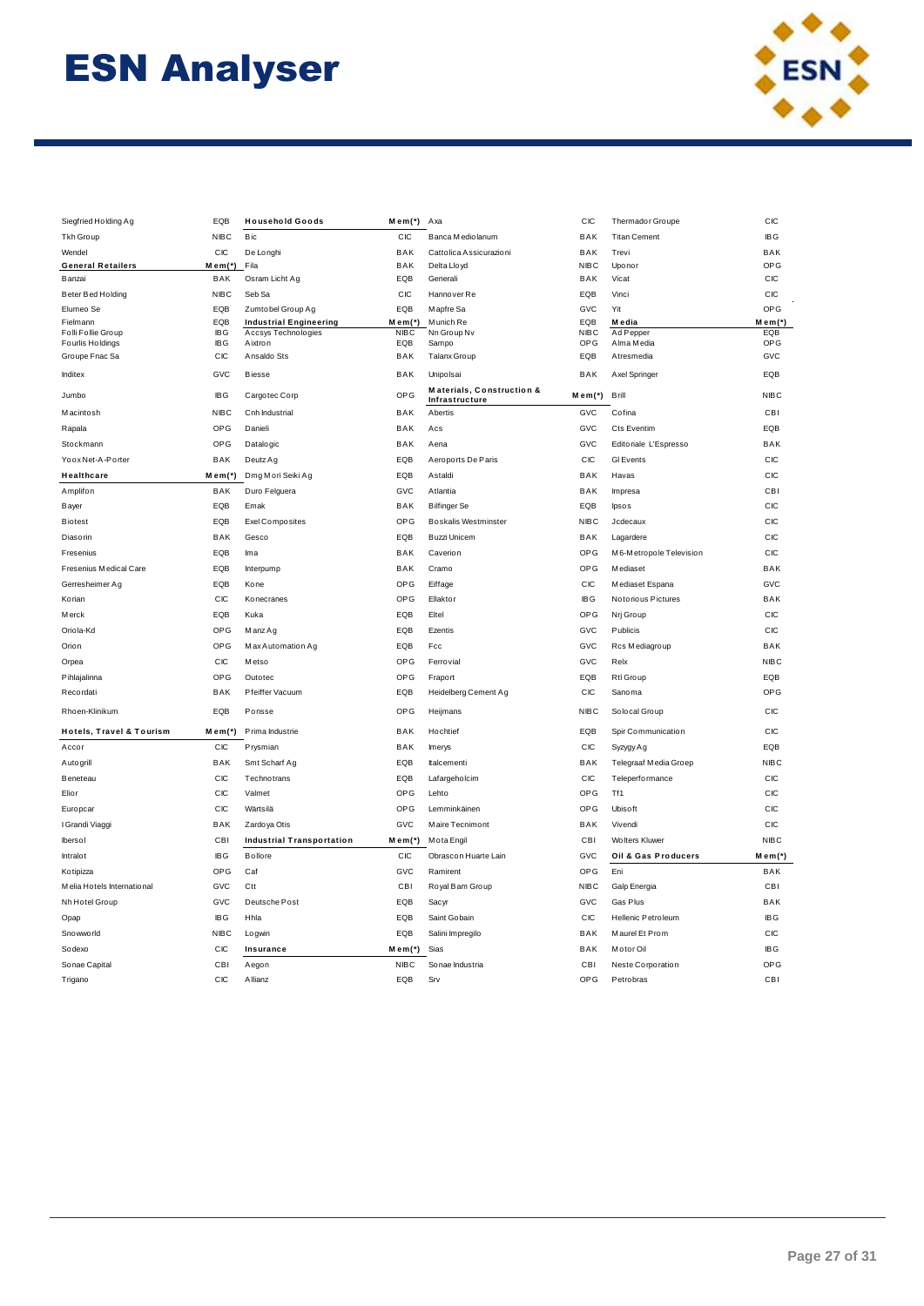

| Siegfried Holding Ag                | EQB               | <b>Household Goods</b>                               | Mem(*) Axa            |                                             | CIC                | Thermador Groupe        | CIC          |
|-------------------------------------|-------------------|------------------------------------------------------|-----------------------|---------------------------------------------|--------------------|-------------------------|--------------|
| Tkh Group                           | <b>NIBC</b>       | Bic                                                  | CIC                   | Banca Mediolanum                            | BAK                | <b>Titan Cement</b>     | <b>IBG</b>   |
| Wendel                              | CIC               | De Longhi                                            | <b>BAK</b>            | Cattolica Assicurazioni                     | BAK                | Trevi                   | BAK          |
| <b>General Retailers</b>            | $M_{em}$ (*)      | Fila                                                 | <b>BAK</b>            | Delta Lloyd                                 | <b>NIBC</b>        | Uponor                  | OPG          |
| Banzai                              | BAK               | Osram Licht Ag                                       | EQB                   | Generali                                    | BAK                | Vicat                   | CIC          |
| Beter Bed Holding                   | <b>NIBC</b>       | Seb Sa                                               | CIC                   | Hannover Re                                 | EQB                | Vinci                   | CIC          |
| Elumeo Se                           | EQB               | Zumtobel Group Ag                                    | EQB                   | Mapfre Sa                                   | GVC                | Yit                     | OPG          |
| Fielmann<br>Folli Follie Group      | EQB<br><b>IBG</b> | <b>Industrial Engineering</b><br>Accsys Technologies | Mem(*)<br><b>NIBC</b> | M unich Re<br>Nn Group Nv                   | EQB<br><b>NIBC</b> | M edia<br>Ad Pepper     | Mem(*<br>EQB |
| Fourlis Holdings                    | <b>IBG</b>        | Aixtron                                              | EQB                   | Sampo                                       | OPG                | Alma Media              | OPG          |
| Groupe Fnac Sa                      | CIC               | Ansaldo Sts                                          | BAK                   | Talanx Group                                | EQB                | Atresmedia              | GVC          |
| Inditex                             | GVC               | <b>Biesse</b>                                        | BAK                   | Unipolsai                                   | BAK                | Axel Springer           | EQB          |
| Jumbo                               | <b>IBG</b>        | Cargotec Corp                                        | OPG                   | Materials, Construction &<br>Infrastructure | $M$ em $(*)$       | Brill                   | <b>NIBC</b>  |
| Macintosh                           | <b>NIBC</b>       | Cnh Industrial                                       | BAK                   | Abertis                                     | GVC                | Cofina                  | CBI          |
| Rapala                              | OPG               | Danieli                                              | BAK                   | Acs                                         | GVC                | Cts Eventim             | EQB          |
| Stockmann                           | OPG               | Datalogic                                            | BAK                   | Aena                                        | GVC                | Editoriale L'Espresso   | BAK          |
| Yoox Net-A-Porter                   | BAK               | Deutz Ag                                             | EQB                   | Aeroports De Paris                          | CIC                | GI Events               | CIC          |
| Healthcare                          | $M$ em $(*)$      | Dmg Mori Seiki Ag                                    | EQB                   | Astaldi                                     | BAK                | Havas                   | CIC          |
| Amplifon                            | <b>BAK</b>        | Duro Felguera                                        | GVC                   | Atlantia                                    | <b>BAK</b>         | Impresa                 | CBI          |
| Bayer                               | EQB               | Emak                                                 | <b>BAK</b>            | <b>Bilfinger</b> Se                         | EQB                | lpsos                   | CIC          |
| <b>Biotest</b>                      | EQB               | <b>Exel Composites</b>                               | <b>OPG</b>            | <b>Boskalis Westminster</b>                 | <b>NIBC</b>        | Jcdecaux                | CIC          |
| <b>Diasorin</b>                     | BAK               | Gesco                                                | EQB                   | Buzzi Unicem                                | BAK                | Lagardere               | CIC          |
| Fresenius                           | EQB               | Ima                                                  | BAK                   | Caverion                                    | OPG                | M6-Metropole Television | CIC          |
| Fresenius Medical Care              | EQB               | Interpump                                            | BAK                   | Cramo                                       | <b>OPG</b>         | M ediaset               | BAK          |
| Gerresheimer Ag                     | EQB               | Kone                                                 | OPG                   | Eiffage                                     | CIC                | Mediaset Espana         | GVC          |
| Korian                              | CIC               | Konecranes                                           | OPG                   | Ellaktor                                    | <b>IBG</b>         | Notorious Pictures      | BAK          |
| <b>Merck</b>                        | EQB               | Kuka                                                 | EQB                   | Eltel                                       | OPG                | Nrj Group               | CIC          |
| Oriola-Kd                           | OPG               | Manz Ag                                              | EQB                   | Ezentis                                     | GVC                | Publicis                | CIC          |
| Orion                               | OPG               | Max Automation Ag                                    | EQB                   | Fcc                                         | GVC                | Rcs Mediagroup          | BAK          |
| Orpea                               | CIC               | M etso                                               | OPG                   | Ferrovial                                   | GVC                | Relx                    | <b>NIBC</b>  |
| Pihlajalinna                        | OPG               | Outotec                                              | OPG                   | Fraport                                     | EQB                | Rtl Group               | EQB          |
|                                     |                   |                                                      |                       |                                             |                    |                         | OPG          |
| Recordati<br>Rhoen-Klinikum         | BAK<br>EQB        | Pfeiffer Vacuum<br>Ponsse                            | EQB<br>OPG            | Heidelberg Cement Ag<br>Heijmans            | CIC<br><b>NIBC</b> | Sanoma<br>Solocal Group | CIC          |
|                                     |                   |                                                      |                       |                                             |                    |                         |              |
| <b>Hotels, Travel &amp; Tourism</b> | Mem(*)            | Prima Industrie                                      | BAK                   | Hochtief                                    | EQB                | Spir Communication      | CIC          |
| Accor                               | CIC               | Prysmian                                             | BAK                   | Imerys                                      | CIC                | Syzygy Ag               | EQB          |
| Autogrill                           | BAK               | Smt Scharf Ag                                        | EQB                   | Italcementi                                 | BAK                | Telegraaf Media Groep   | <b>NIBC</b>  |
| Beneteau                            | CIC               | Technotrans                                          | EQB                   | Lafargeholcim                               | CIC                | Teleperformance         | CIC          |
| Elior                               | CIC               | Valmet                                               | <b>OPG</b>            | Lehto                                       | <b>OPG</b>         | Tf1                     | CIC          |
| Europcar                            | CIC               | Wärtsilä                                             | <b>OPG</b>            | Lemminkäinen                                | <b>OPG</b>         | Ubisoft                 | CIC          |
| I Grandi Viaggi                     | <b>BAK</b>        | Zardo ya Otis                                        | GVC                   | Maire Tecnimont                             | <b>BAK</b>         | Vivendi                 | CIC          |
| Ibersol                             | CBI               | <b>Industrial Transportation</b>                     | $M$ em $(*)$          | M ota Engil                                 | CBI                | Wolters Kluwer          | <b>NIBC</b>  |
| Intralot                            | <b>IBG</b>        | <b>Bollore</b>                                       | CIC                   | Obrascon Huarte Lain                        | GVC                | Oil & Gas Producers     | Mem(*)       |
| Kotipizza                           | OPG               | Caf                                                  | GVC                   | Ramirent                                    | <b>OPG</b>         | Eni                     | BAK          |
| Melia Hotels International          | GVC               | Ctt                                                  | CBI                   | Royal Bam Group                             | <b>NIBC</b>        | Galp Energia            | CBI          |
| Nh Hotel Group                      | GVC               | Deutsche Post                                        | EQB                   | Sacyr                                       | GVC                | Gas Plus                | BAK          |
| Opap                                | <b>IBG</b>        | Hhla                                                 | EQB                   | Saint Gobain                                | CIC                | Hellenic Petroleum      | <b>IBG</b>   |
| Snowworld                           | <b>NIBC</b>       | Logwin                                               | EQB                   | Salini Impregilo                            | BAK                | Maurel Et Prom          | CIC          |
| Sodexo                              | CIC               | Insurance                                            | $M$ em $(*)$          | Sias                                        | BAK                | Motor Oil               | <b>IBG</b>   |
| Sonae Capital                       | CB <sub>I</sub>   | Aegon                                                | <b>NIBC</b>           | Sonae Industria                             | CBI                | Neste Corporation       | OPG          |
| Trigano                             | CIC               | Allianz                                              | EQB                   | Srv                                         | <b>OPG</b>         | Petrobras               | CBI          |
|                                     |                   |                                                      |                       |                                             |                    |                         |              |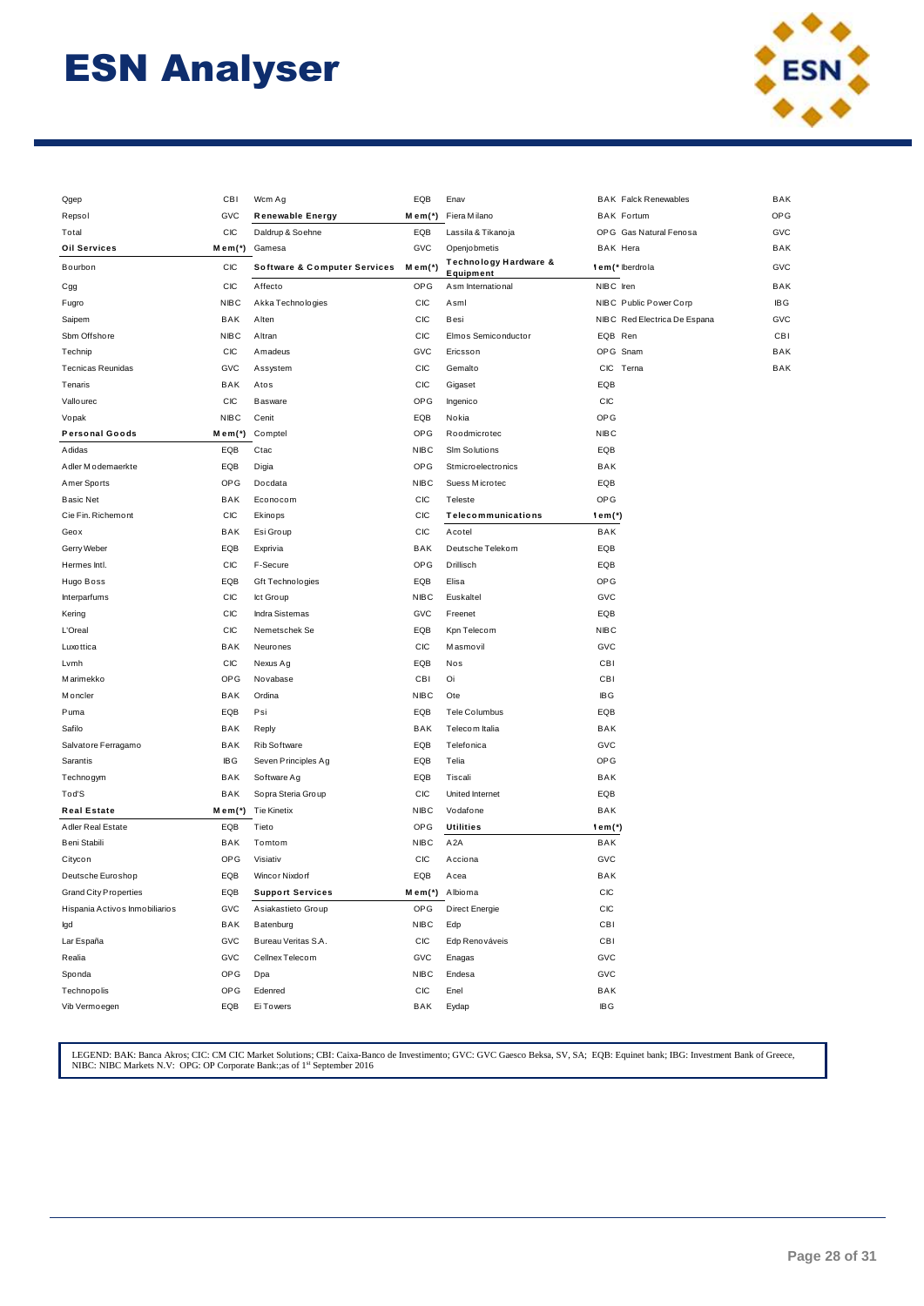

| Qgep                           | CBI         | Wcm Ag                                  | EQB            | Enav                               | <b>BAK Falck Renewables</b>  | BAK        |
|--------------------------------|-------------|-----------------------------------------|----------------|------------------------------------|------------------------------|------------|
| Repsol                         | GVC         | <b>Renewable Energy</b>                 | Mem(*)         | Fiera Milano                       | <b>BAK Fortum</b>            | OPG        |
| Total                          | CIC         | Daldrup & Soehne                        | EQB            | Lassila & Tikanoja                 | OPG Gas Natural Fenosa       | GVC        |
| <b>Oil Services</b>            | Mem(*)      | Gamesa                                  | GVC            | Openjobmetis                       | <b>BAK Hera</b>              | BAK        |
| Bourbon                        | <b>CIC</b>  | <b>Software &amp; Computer Services</b> | Mem(*)         | Technology Hardware &<br>Equipment | lem (* Iberdrola             | GVC        |
| Cgg                            | СIС         | Affecto                                 | OPG            | Asm International                  | NIBC Iren                    | BAK        |
| Fugro                          | <b>NIBC</b> | Akka Technologies                       | CIC            | Asml                               | NIBC Public Power Corp       | <b>IBG</b> |
| Saipem                         | BAK         | Alten                                   | CIC            | Besi                               | NIBC Red Electrica De Espana | GVC        |
| Sbm Offshore                   | <b>NIBC</b> | Altran                                  | CIC            | Elmos Semiconductor                | EQB Ren                      | <b>CBI</b> |
| Technip                        | <b>CIC</b>  | Amadeus                                 | GVC            | Ericsson                           | OPG Snam                     | BAK        |
| <b>Tecnicas Reunidas</b>       | GVC         | Assystem                                | CIC            | Gemalto                            | <b>CIC</b><br>Terna          | BAK        |
| Tenaris                        | BAK         | Atos                                    | CIC            | Gigaset                            | EQB                          |            |
| Vallourec                      | CIC         | Basware                                 | OPG            | Ingenico                           | CIC                          |            |
| Vopak                          | <b>NIBC</b> | Cenit                                   | EQB            | Nokia                              | <b>OPG</b>                   |            |
| <b>Personal Goods</b>          | Mem(*)      | Comptel                                 | OPG            | Roodmicrotec                       | <b>NIBC</b>                  |            |
| Adidas                         | EQB         | Ctac                                    | <b>NIBC</b>    | Slm Solutions                      | EQB                          |            |
| A dler M o demaerkte           | EQB         | Digia                                   | <b>OPG</b>     | Stmicroelectronics                 | BAK                          |            |
| Amer Sports                    | <b>OPG</b>  | Docdata                                 | <b>NIBC</b>    | Suess Microtec                     | EQB                          |            |
| <b>Basic Net</b>               | BAK         | Econocom                                | CIC            | Teleste                            | OPG                          |            |
| Cie Fin. Richemont             | <b>CIC</b>  | Ekinops                                 | <b>CIC</b>     | Telecommunications                 | lem(*)                       |            |
| Geox                           | BAK         | Esi Group                               | CIC            | Acotel                             | BAK                          |            |
| Gerry Weber                    | EQB         | Exprivia                                | BAK            | Deutsche Telekom                   | EQB                          |            |
| Hermes Intl.                   | СIС         | F-Secure                                | OPG            | Drillisch                          | EQB                          |            |
| Hugo Boss                      | EQB         | Gft Technologies                        | EQB            | Elisa                              | OPG                          |            |
| Interparfums                   | <b>CIC</b>  | Ict Group                               | <b>NIBC</b>    | Euskaltel                          | GVC                          |            |
| Kering                         | <b>CIC</b>  | <b>Indra Sistemas</b>                   | GVC            | Freenet                            | EQB                          |            |
| L'Oreal                        | СIС         | Nemetschek Se                           | EQB            | Kpn Telecom                        | <b>NIBC</b>                  |            |
| Luxottica                      | BAK         | Neurones                                | CIC            | Masmovil                           | GVC                          |            |
| Lvmh                           | <b>CIC</b>  | Nexus Ag                                | EQB            | Nos                                | CBI                          |            |
| Marimekko                      | <b>OPG</b>  | Novabase                                | CBI            | Oi                                 | <b>CBI</b>                   |            |
| Moncler                        | BAK         | Ordina                                  | <b>NIBC</b>    | Ote                                | <b>IBG</b>                   |            |
| Puma                           | EQB         | Psi                                     | EQB            | Tele Columbus                      | EQB                          |            |
| Safilo                         | BAK         | Reply                                   | BAK            | Telecom Italia                     | BAK                          |            |
| Salvatore Ferragamo            | BAK         | Rib Software                            | EQB            | Telefonica                         | GVC                          |            |
| Sarantis                       | <b>IBG</b>  | Seven Principles Ag                     | EQB            | Telia                              | <b>OPG</b>                   |            |
| Technogym                      | BAK         | Software Ag                             | EQB            | Tiscali                            | BAK                          |            |
| Tod'S                          | BAK         | Sopra Steria Group                      | CIC            | United Internet                    | EQB                          |            |
| <b>Real Estate</b>             | Mem(*)      | <b>Tie Kinetix</b>                      | <b>NIBC</b>    | Vodafone                           | BAK                          |            |
| Adler Real Estate              | EQB         | Tieto                                   | <b>OPG</b>     | <b>Utilities</b>                   | lem(*)                       |            |
| Beni Stabili                   | BAK         | Tomtom                                  | <b>NIBC</b>    | A <sub>2</sub> A                   | BAK                          |            |
| Citycon                        | <b>OPG</b>  | Visiativ                                | <b>CIC</b>     | Acciona                            | GVC                          |            |
| Deutsche Euroshop              | EQB         | Wincor Nixdorf                          | EQB            | Acea                               | BAK                          |            |
| <b>Grand City Properties</b>   | EQB         | <b>Support Services</b>                 | Mem(*) Albioma |                                    | СIС                          |            |
| Hispania Activos Inmobiliarios | GVC         | Asiakastieto Group                      | OPG            | Direct Energie                     | СIС                          |            |
| lgd                            | BAK         | Batenburg                               | NIBC           | Edp                                | CBI                          |            |
| Lar España                     | GVC         | Bureau Veritas S.A.                     | CIC            | Edp Renováveis                     | CBI                          |            |
| Realia                         | GVC         | Cellnex Telecom                         | GVC            | Enagas                             | GVC                          |            |
| Sponda                         | OPG         | Dpa                                     | <b>NIBC</b>    | Endesa                             | GVC                          |            |
| Technopolis                    | <b>OPG</b>  | Edenred                                 | CIC            | Enel                               | BAK                          |            |
| Vib Vermoegen                  | EQB         | Ei Towers                               | BAK            | Eydap                              | <b>IBG</b>                   |            |
|                                |             |                                         |                |                                    |                              |            |

LEGEND: BAK: Banca Akros; CIC: CM CIC Market Solutions; CBI: Caixa-Banco de Investimento; GVC: GVC Gaesco Beksa, SV, SA; EQB: Equinet bank; IBG: Investment Bank of Greece, NIBC: NIBC Markets N.V: OPG: OP Corporate Bank:;as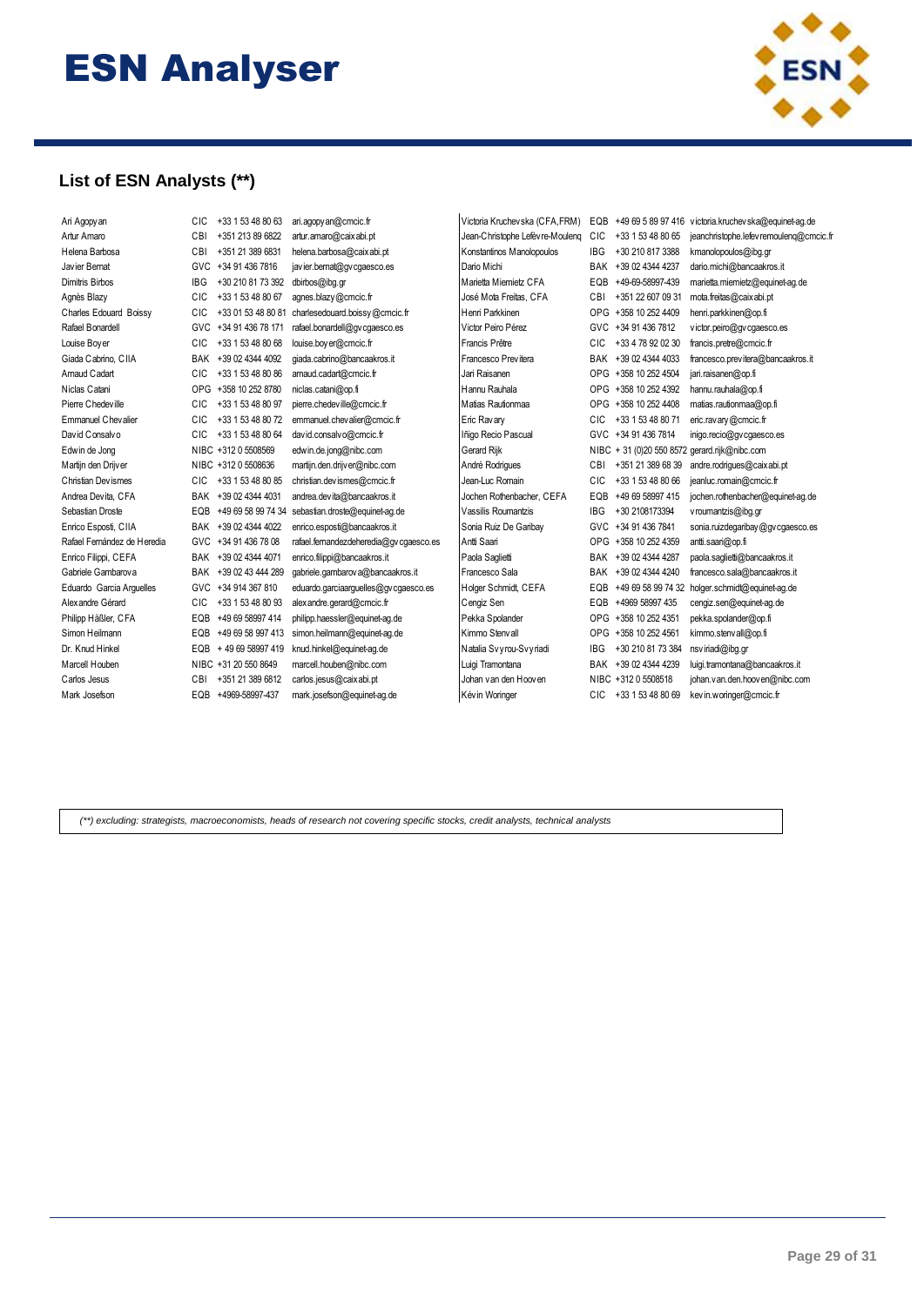

### **List of ESN Analysts (\*\*)**

| Ari Agopy an                | CIC        | +33 1 53 48 80 63     | ari.agopy an@cmcic.fr                 | Victoria Kruchevska (CFA,FRM)   |            | EQB +49 69 5 89 97 416 | victoria.kruchevska@equinet-aq.de             |
|-----------------------------|------------|-----------------------|---------------------------------------|---------------------------------|------------|------------------------|-----------------------------------------------|
| Artur Amaro                 | CBI        | +351 213 89 6822      | artur.amaro@caixabi.pt                | Jean-Christophe Lefèvre-Mouleng | <b>CIC</b> | +33 1 53 48 80 65      | jeanchristophe.lefev remouleng@cmcic.fr       |
| Helena Barbosa              | CBI        | +351 21 389 6831      | helena.barbosa@caixabi.pt             | Konstantinos Manolopoulos       | <b>IBG</b> | +30 210 817 3388       | kmanolopoulos@ibq.qr                          |
| Javier Bernat               | <b>GVC</b> | +34 91 436 7816       | javier.bemat@gvcgaesco.es             | Dario Michi                     | BAK        | +39 02 4344 4237       | dario.michi@bancaakros.it                     |
| Dimitris Birbos             | IBG        | +30 210 81 73 392     | dbirbos@ibq.qr                        | Marietta Miemietz CFA           | EQB        | +49-69-58997-439       | marietta.miemietz@equinet-aq.de               |
| Agnès Blazy                 | CIC        | +33 1 53 48 80 67     | agnes.blazy@cmcic.fr                  | José Mota Freitas, CFA          | CBI        | +351 22 607 09 31      | mota.freitas@caix abi.pt                      |
| Charles Edouard Boissy      | <b>CIC</b> | +33 01 53 48 80 81    | charlesedouard.boissy@cmcic.fr        | Henri Parkkinen                 | OPG.       | +358 10 252 4409       | henri.parkkinen@op.fi                         |
| Rafael Bonardell            | <b>GVC</b> | +34 91 436 78 171     | rafael.bonardell@gv cgaesco.es        | Victor Peiro Pérez              | GVC        | +34 91 436 7812        | victor.peiro@gvcgaesco.es                     |
| Louise Bover                | <b>CIC</b> | +33 1 53 48 80 68     | louise.boyer@cmcic.fr                 | Francis Prêtre                  | <b>CIC</b> | +33 4 78 92 02 30      | francis.pretre@cmcic.fr                       |
| Giada Cabrino, CIIA         | BAK        | +39 02 4344 4092      | giada.cabrino@bancaakros.it           | Francesco Previtera             |            | BAK +39 02 4344 4033   | francesco.previtera@bancaakros.it             |
| Arnaud Cadart               | CIC        | +33 1 53 48 80 86     | arnaud.cadart@cmcic.fr                | Jari Raisanen                   |            | OPG +358 10 252 4504   | jari.raisanen@op.fi                           |
| Niclas Catani               | <b>OPG</b> | +358 10 252 8780      | niclas.catani@op.fi                   | Hannu Rauhala                   |            | OPG +358 10 252 4392   | hannu.rauhala@op.fi                           |
| Pierre Chedeville           | CIC        | +33 1 53 48 80 97     | pierre.chedeville@cmcic.fr            | Matias Rautionmaa               | <b>OPG</b> | +358 10 252 4408       | matias.rautionmaa@op.fi                       |
| Emmanuel Chevalier          | CIC        | +33 1 53 48 80 72     | emmanuel.chevalier@cmcic.fr           | Eric Ravary                     | <b>CIC</b> | +33 1 53 48 80 71      | eric.ravary@cmcic.fr                          |
| David Consalvo              | <b>CIC</b> | +33 1 53 48 80 64     | david.consalvo@cmcic.fr               | Iñigo Recio Pascual             | <b>GVC</b> | +34 91 436 7814        | inigo.recio@gv cgaesco.es                     |
| Edwin de Jong               |            | NIBC +312 0 5508569   | edwin.de.jong@nibc.com                | Gerard Rijk                     |            |                        | NIBC + 31 (0)20 550 8572 gerard.rijk@nibc.com |
| Martijn den Drijver         |            | NIBC +312 0 5508636   | martijn.den.drijver@nibc.com          | André Rodriques                 | CBI        | +351 21 389 68 39      | andre.rodriques@caixabi.pt                    |
| Christian Devismes          | CIC        | +33 1 53 48 80 85     | christian.devismes@cmcic.fr           | Jean-Luc Romain                 | <b>CIC</b> | +33 1 53 48 80 66      | jeanluc.romain@cmcic.fr                       |
| Andrea Devita, CFA          | <b>BAK</b> | +39 02 4344 4031      | andrea.devita@bancaakros.it           | Jochen Rothenbacher, CEFA       | EQB        | +49 69 58997 415       | jochen.rothenbacher@equinet-ag.de             |
| Sebastian Droste            | EQB        | +49 69 58 99 74 34    | sebastian.droste@equinet-aq.de        | Vassilis Roumantzis             | <b>IBG</b> | +30 2108173394         | vroumantzis@ibq.qr                            |
| Enrico Esposti, CIIA        | <b>BAK</b> | +39 02 4344 4022      | enrico.esposti@bancaakros.it          | Sonia Ruiz De Garibav           | <b>GVC</b> | +34 91 436 7841        | sonia.ruizdegaribay@gvcgaesco.es              |
| Rafael Fernández de Heredia | GVC        | +34 91 436 78 08      | rafael.femandezdeheredia@qvcqaesco.es | Antti Saari                     | <b>OPG</b> | +358 10 252 4359       | antti.saari@op.fi                             |
| Enrico Filippi, CEFA        | BAK        | +39 02 4344 4071      | enrico.filippi@bancaakros.it          | Paola Saqlietti                 | BAK        | +39 02 4344 4287       | paola.saqlietti@bancaakros.it                 |
| Gabriele Gambarov a         |            | BAK +39 02 43 444 289 | qabriele.gambarov a@bancaakros.it     | Francesco Sala                  | BAK        | +39 02 4344 4240       | francesco.sala@bancaakros.it                  |
| Eduardo Garcia Arguelles    | <b>GVC</b> | +34 914 367 810       | eduardo.garciaarguelles@gv cgaesco.es | Holger Schmidt, CEFA            | EQB        | +49 69 58 99 74 32     | holger.schmidt@equinet-ag.de                  |
| Alex andre Gérard           | <b>CIC</b> | +33 1 53 48 80 93     | alex andre.gerard@cmcic.fr            | Cengiz Sen                      | EQB        | +4969 58997 435        | cengiz.sen@equinet-aq.de                      |
| Philipp Häßler, CFA         | EQB        | +49 69 58997 414      | philipp.haessler@equinet-aq.de        | Pekka Spolander                 | <b>OPG</b> | +358 10 252 4351       | pekka.spolander@op.fi                         |
| Simon Heilmann              | EQB        | +49 69 58 997 413     | simon.heilmann@equinet-ag.de          | Kimmo Stenvall                  | <b>OPG</b> | +358 10 252 4561       | kimmo.stenvall@op.fi                          |
| Dr. Knud Hinkel             | EQB        | +49 69 58997 419      | knud.hinkel@equinet-ag.de             | Natalia Svyrou-Svyriadi         | <b>IBG</b> | +30 210 81 73 384      | nsviriadi@ibq.gr                              |
| Marcell Houben              |            | NIBC +31 20 550 8649  | marcell.houben@nibc.com               | Luigi Tramontana                | BAK        | +39 02 4344 4239       | luigi.tramontana@bancaakros.it                |
| Carlos Jesus                | CBI        | +351 21 389 6812      | carlos.jesus@caixabi.pt               | Johan van den Hooven            |            | NIBC +312 0 5508518    | johan.v an.den.hooven@nibc.com                |
| Mark Josefson               | EQB        | +4969-58997-437       | mark.josefson@equinet-ag.de           | Kév in Woringer                 | CIC.       | +33 1 53 48 80 69      | kev in.w oringer@cmcic.fr                     |
|                             |            |                       |                                       |                                 |            |                        |                                               |

*(\*\*) excluding: strategists, macroeconomists, heads of research not covering specific stocks, credit analysts, technical analysts*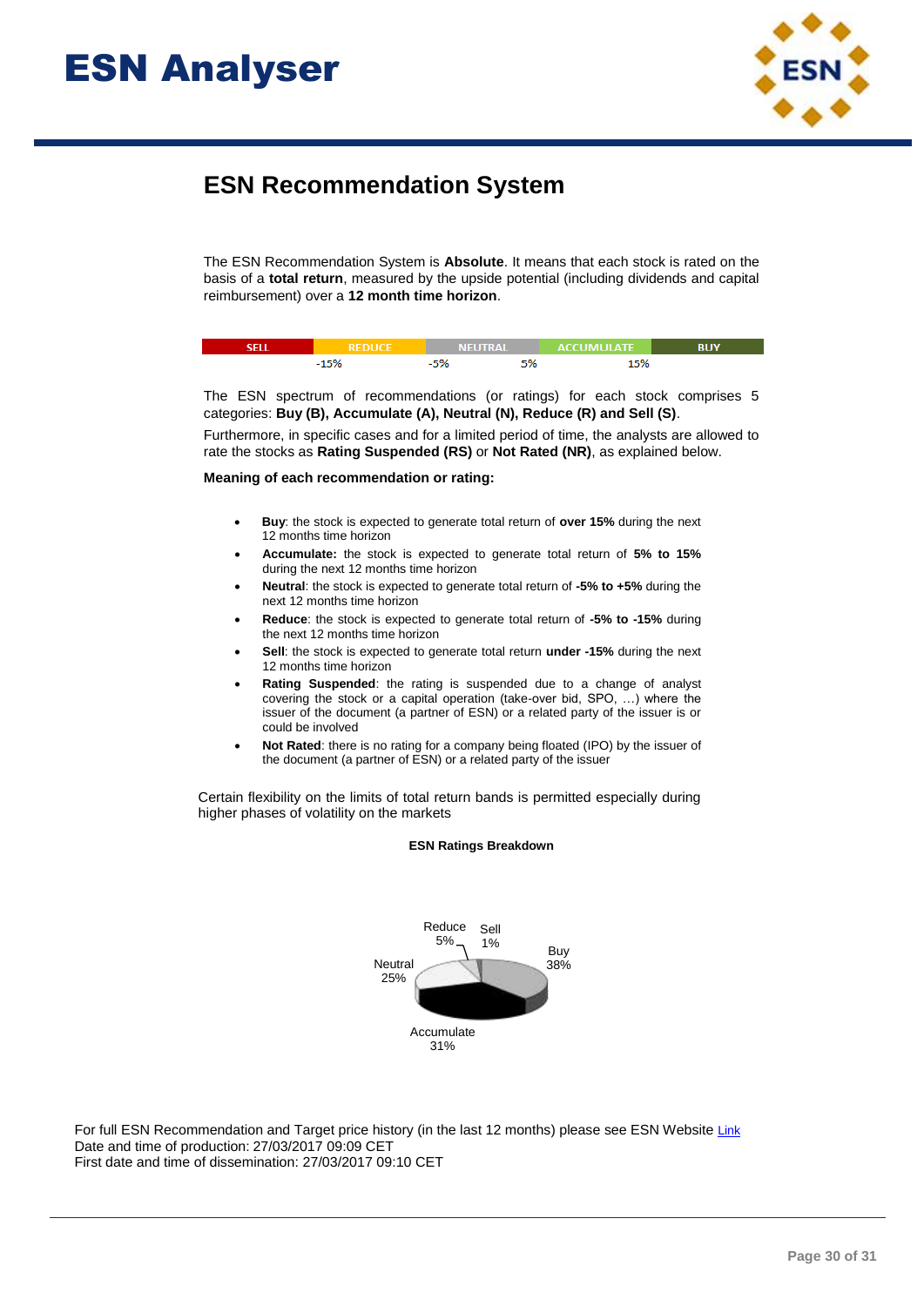

## **ESN Recommendation System**

The ESN Recommendation System is **Absolute**. It means that each stock is rated on the basis of a **total return**, measured by the upside potential (including dividends and capital reimbursement) over a **12 month time horizon**.

|     | чине АІ |      | — ACCUMULATE |  |
|-----|---------|------|--------------|--|
| 100 |         | - 0. | EO/          |  |

The ESN spectrum of recommendations (or ratings) for each stock comprises 5 categories: **Buy (B), Accumulate (A), Neutral (N), Reduce (R) and Sell (S)**.

Furthermore, in specific cases and for a limited period of time, the analysts are allowed to rate the stocks as **Rating Suspended (RS)** or **Not Rated (NR)**, as explained below.

### **Meaning of each recommendation or rating:**

- **Buy**: the stock is expected to generate total return of **over 15%** during the next 12 months time horizon
- **Accumulate:** the stock is expected to generate total return of **5% to 15%** during the next 12 months time horizon
- **Neutral**: the stock is expected to generate total return of **-5% to +5%** during the next 12 months time horizon
- **Reduce**: the stock is expected to generate total return of **-5% to -15%** during the next 12 months time horizon
- **Sell**: the stock is expected to generate total return **under -15%** during the next 12 months time horizon
- **Rating Suspended**: the rating is suspended due to a change of analyst covering the stock or a capital operation (take-over bid, SPO, …) where the issuer of the document (a partner of ESN) or a related party of the issuer is or could be involved
- **Not Rated**: there is no rating for a company being floated (IPO) by the issuer of the document (a partner of ESN) or a related party of the issuer

Certain flexibility on the limits of total return bands is permitted especially during higher phases of volatility on the markets



### **ESN Ratings Breakdown**

For full ESN Recommendation and Target price history (in the last 12 months) please see ESN Website [Link](http://www.esnpartnership.eu/research_and_database_access) Date and time of production: 27/03/2017 09:09 CET First date and time of dissemination: 27/03/2017 09:10 CET